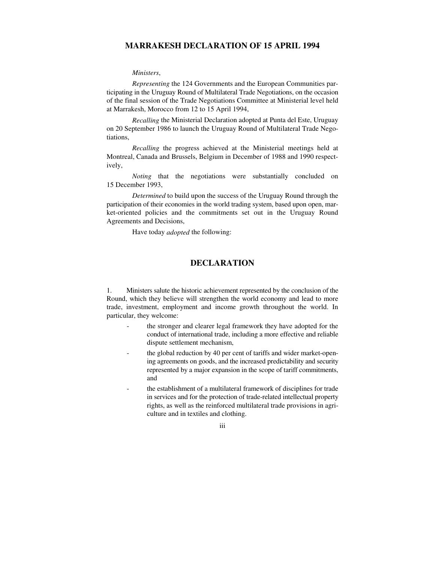## **MARRAKESH DECLARATION OF 15 APRIL 1994**

## *Ministers*,

*Representing* the 124 Governments and the European Communities participating in the Uruguay Round of Multilateral Trade Negotiations, on the occasion of the final session of the Trade Negotiations Committee at Ministerial level held at Marrakesh, Morocco from 12 to 15 April 1994,

*Recalling* the Ministerial Declaration adopted at Punta del Este, Uruguay on 20 September 1986 to launch the Uruguay Round of Multilateral Trade Negotiations,

*Recalling* the progress achieved at the Ministerial meetings held at Montreal, Canada and Brussels, Belgium in December of 1988 and 1990 respectively,

*Noting* that the negotiations were substantially concluded on 15 December 1993,

*Determined* to build upon the success of the Uruguay Round through the participation of their economies in the world trading system, based upon open, market-oriented policies and the commitments set out in the Uruguay Round Agreements and Decisions,

Have today *adopted* the following:

## **DECLARATION**

1. Ministers salute the historic achievement represented by the conclusion of the Round, which they believe will strengthen the world economy and lead to more trade, investment, employment and income growth throughout the world. In particular, they welcome:

- the stronger and clearer legal framework they have adopted for the conduct of international trade, including a more effective and reliable dispute settlement mechanism,
- the global reduction by 40 per cent of tariffs and wider market-opening agreements on goods, and the increased predictability and security represented by a major expansion in the scope of tariff commitments, and
- the establishment of a multilateral framework of disciplines for trade in services and for the protection of trade-related intellectual property rights, as well as the reinforced multilateral trade provisions in agriculture and in textiles and clothing.

iii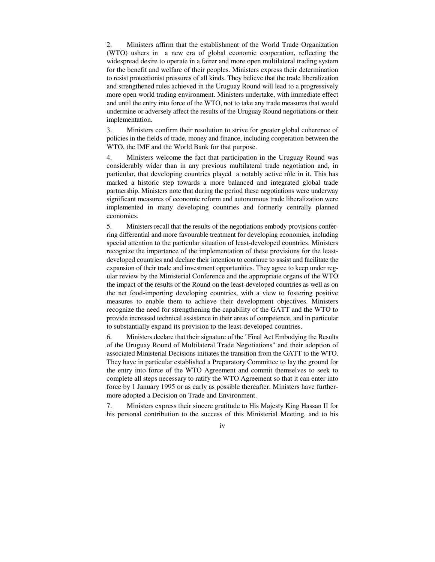2. Ministers affirm that the establishment of the World Trade Organization (WTO) ushers in a new era of global economic cooperation, reflecting the widespread desire to operate in a fairer and more open multilateral trading system for the benefit and welfare of their peoples. Ministers express their determination to resist protectionist pressures of all kinds. They believe that the trade liberalization and strengthened rules achieved in the Uruguay Round will lead to a progressively more open world trading environment. Ministers undertake, with immediate effect and until the entry into force of the WTO, not to take any trade measures that would undermine or adversely affect the results of the Uruguay Round negotiations or their implementation.

3. Ministers confirm their resolution to strive for greater global coherence of policies in the fields of trade, money and finance, including cooperation between the WTO, the IMF and the World Bank for that purpose.

4. Ministers welcome the fact that participation in the Uruguay Round was considerably wider than in any previous multilateral trade negotiation and, in particular, that developing countries played a notably active rôle in it. This has marked a historic step towards a more balanced and integrated global trade partnership. Ministers note that during the period these negotiations were underway significant measures of economic reform and autonomous trade liberalization were implemented in many developing countries and formerly centrally planned economies.

5. Ministers recall that the results of the negotiations embody provisions conferring differential and more favourable treatment for developing economies, including special attention to the particular situation of least-developed countries. Ministers recognize the importance of the implementation of these provisions for the leastdeveloped countries and declare their intention to continue to assist and facilitate the expansion of their trade and investment opportunities. They agree to keep under regular review by the Ministerial Conference and the appropriate organs of the WTO the impact of the results of the Round on the least-developed countries as well as on the net food-importing developing countries, with a view to fostering positive measures to enable them to achieve their development objectives. Ministers recognize the need for strengthening the capability of the GATT and the WTO to provide increased technical assistance in their areas of competence, and in particular to substantially expand its provision to the least-developed countries.

6. Ministers declare that their signature of the "Final Act Embodying the Results of the Uruguay Round of Multilateral Trade Negotiations" and their adoption of associated Ministerial Decisions initiates the transition from the GATT to the WTO. They have in particular established a Preparatory Committee to lay the ground for the entry into force of the WTO Agreement and commit themselves to seek to complete all steps necessary to ratify the WTO Agreement so that it can enter into force by 1 January 1995 or as early as possible thereafter. Ministers have furthermore adopted a Decision on Trade and Environment.

7. Ministers express their sincere gratitude to His Majesty King Hassan II for his personal contribution to the success of this Ministerial Meeting, and to his

iv